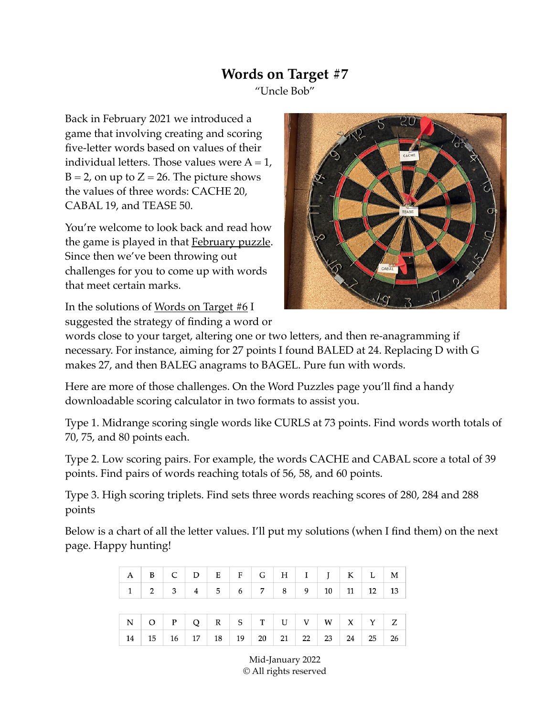## **Words on Target #7**

"Uncle Bob"

Back in February 2021 we introduced a game that involving creating and scoring five-letter words based on values of their individual letters. Those values were  $A = 1$ ,  $B = 2$ , on up to  $Z = 26$ . The picture shows the values of three words: CACHE 20, CABAL 19, and TEASE 50.

You're welcome to look back and read how the game is played in that [February puzzle](https://www.unclebobpuzzles.com/word-puzzles). Since then we've been throwing out challenges for you to come up with words that meet certain marks.

In the solutions of [Words on Target #6](https://www.unclebobpuzzles.com/word-puzzles) I suggested the strategy of finding a word or



words close to your target, altering one or two letters, and then re-anagramming if necessary. For instance, aiming for 27 points I found BALED at 24. Replacing D with G makes 27, and then BALEG anagrams to BAGEL. Pure fun with words.

Here are more of those challenges. On the Word Puzzles page you'll find a handy downloadable scoring calculator in two formats to assist you.

Type 1. Midrange scoring single words like CURLS at 73 points. Find words worth totals of 70, 75, and 80 points each.

Type 2. Low scoring pairs. For example, the words CACHE and CABAL score a total of 39 points. Find pairs of words reaching totals of 56, 58, and 60 points.

Type 3. High scoring triplets. Find sets three words reaching scores of 280, 284 and 288 points

Below is a chart of all the letter values. I'll put my solutions (when I find them) on the next page. Happy hunting!

|  |  |  | $A \mid B \mid C \mid D \mid E \mid F \mid G \mid H \mid I \mid J \mid K \mid L \mid M \mid$     |  |  |  |
|--|--|--|--------------------------------------------------------------------------------------------------|--|--|--|
|  |  |  | $1 \mid 2 \mid 3 \mid 4 \mid 5 \mid 6 \mid 7 \mid 8 \mid 9 \mid 10 \mid 11 \mid 12 \mid 13 \mid$ |  |  |  |
|  |  |  |                                                                                                  |  |  |  |
|  |  |  |                                                                                                  |  |  |  |
|  |  |  | $N$ O P Q R S T U V W X Y Z                                                                      |  |  |  |

Mid-January 2022 © All rights reserved